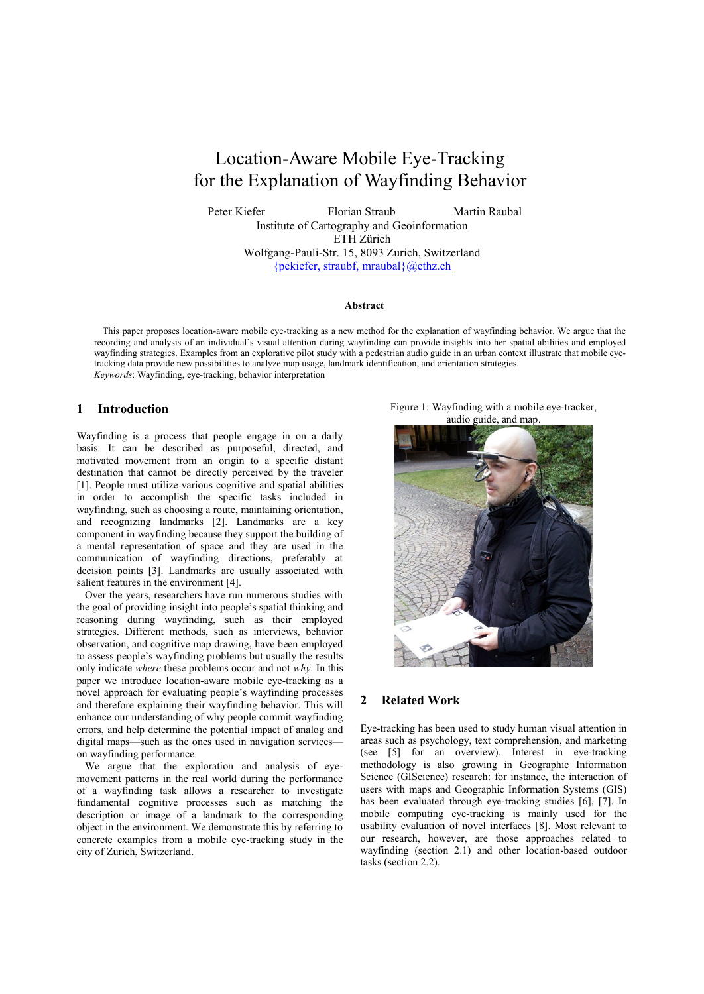# Location-Aware Mobile Eye-Tracking for the Explanation of Wayfinding Behavior

Peter Kiefer Florian Straub Martin Raubal Institute of Cartography and Geoinformation ETH Zürich Wolfgang-Pauli-Str. 15, 8093 Zurich, Switzerland

{pekiefer, straubf, [mraubal}@ethz.ch](mailto:mraubal%7d@ethz.ch)

#### **Abstract**

This paper proposes location-aware mobile eye-tracking as a new method for the explanation of wayfinding behavior. We argue that the recording and analysis of an individual's visual attention during wayfinding can provide insights into her spatial abilities and employed wayfinding strategies. Examples from an explorative pilot study with a pedestrian audio guide in an urban context illustrate that mobile eyetracking data provide new possibilities to analyze map usage, landmark identification, and orientation strategies. *Keywords*: Wayfinding, eye-tracking, behavior interpretation

## **1 Introduction**

Wayfinding is a process that people engage in on a daily basis. It can be described as purposeful, directed, and motivated movement from an origin to a specific distant destination that cannot be directly perceived by the traveler [\[1\]](#page-4-0). People must utilize various cognitive and spatial abilities in order to accomplish the specific tasks included in wayfinding, such as choosing a route, maintaining orientation, and recognizing landmarks [\[2\]](#page-4-1). Landmarks are a key component in wayfinding because they support the building of a mental representation of space and they are used in the communication of wayfinding directions, preferably at decision points [\[3\]](#page-4-2). Landmarks are usually associated with salient features in the environment [\[4\]](#page-4-3).

Over the years, researchers have run numerous studies with the goal of providing insight into people's spatial thinking and reasoning during wayfinding, such as their employed strategies. Different methods, such as interviews, behavior observation, and cognitive map drawing, have been employed to assess people's wayfinding problems but usually the results only indicate *where* these problems occur and not *why*. In this paper we introduce location-aware mobile eye-tracking as a novel approach for evaluating people's wayfinding processes and therefore explaining their wayfinding behavior. This will enhance our understanding of why people commit wayfinding errors, and help determine the potential impact of analog and digital maps—such as the ones used in navigation services on wayfinding performance.

We argue that the exploration and analysis of eyemovement patterns in the real world during the performance of a wayfinding task allows a researcher to investigate fundamental cognitive processes such as matching the description or image of a landmark to the corresponding object in the environment. We demonstrate this by referring to concrete examples from a mobile eye-tracking study in the city of Zurich, Switzerland.

Figure 1: Wayfinding with a mobile eye-tracker, audio guide, and map.



# **2 Related Work**

Eye-tracking has been used to study human visual attention in areas such as psychology, text comprehension, and marketing (see [\[5\]](#page-4-4) for an overview). Interest in eye-tracking methodology is also growing in Geographic Information Science (GIScience) research: for instance, the interaction of users with maps and Geographic Information Systems (GIS) has been evaluated through eye-tracking studies [\[6\]](#page-4-5), [\[7\]](#page-4-6). In mobile computing eye-tracking is mainly used for the usability evaluation of novel interfaces [\[8\]](#page-4-7). Most relevant to our research, however, are those approaches related to wayfinding (section 2.1) and other location-based outdoor tasks (section 2.2).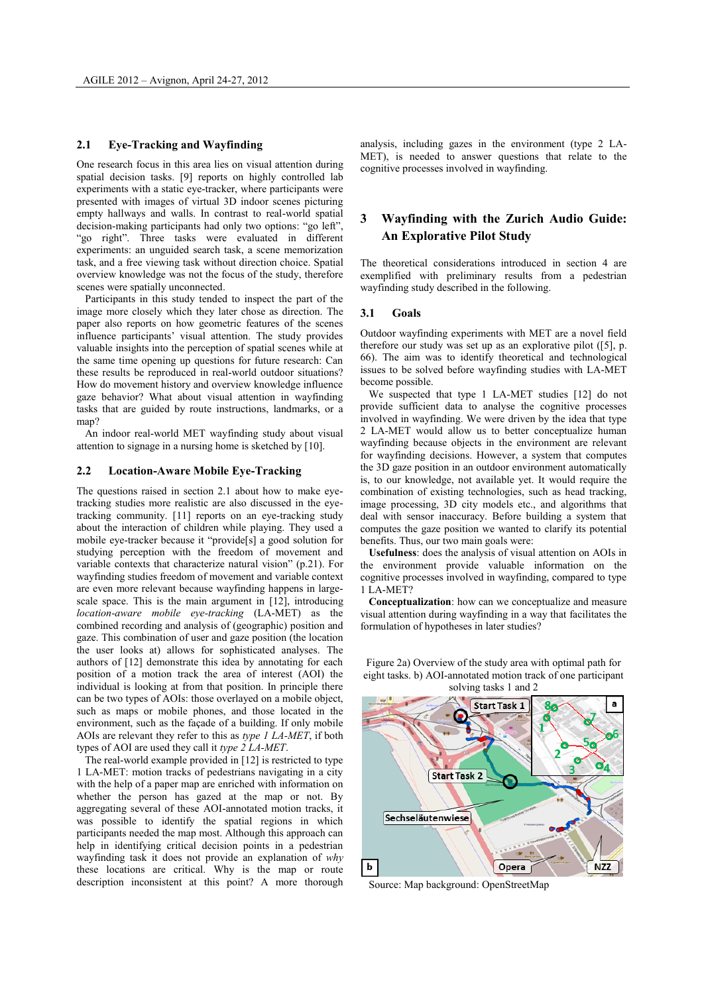#### **2.1 Eye-Tracking and Wayfinding**

One research focus in this area lies on visual attention during spatial decision tasks. [\[9\]](#page-4-8) reports on highly controlled lab experiments with a static eye-tracker, where participants were presented with images of virtual 3D indoor scenes picturing empty hallways and walls. In contrast to real-world spatial decision-making participants had only two options: "go left", "go right". Three tasks were evaluated in different experiments: an unguided search task, a scene memorization task, and a free viewing task without direction choice. Spatial overview knowledge was not the focus of the study, therefore scenes were spatially unconnected.

Participants in this study tended to inspect the part of the image more closely which they later chose as direction. The paper also reports on how geometric features of the scenes influence participants' visual attention. The study provides valuable insights into the perception of spatial scenes while at the same time opening up questions for future research: Can these results be reproduced in real-world outdoor situations? How do movement history and overview knowledge influence gaze behavior? What about visual attention in wayfinding tasks that are guided by route instructions, landmarks, or a ma<sub>p</sub>?

An indoor real-world MET wayfinding study about visual attention to signage in a nursing home is sketched by [\[10\]](#page-4-9).

#### **2.2 Location-Aware Mobile Eye-Tracking**

The questions raised in section 2.1 about how to make eyetracking studies more realistic are also discussed in the eyetracking community. [\[11\]](#page-4-10) reports on an eye-tracking study about the interaction of children while playing. They used a mobile eye-tracker because it "provide[s] a good solution for studying perception with the freedom of movement and variable contexts that characterize natural vision" (p.21). For wayfinding studies freedom of movement and variable context are even more relevant because wayfinding happens in large-scale space. This is the main argument in [\[12\]](#page-4-11), introducing *location-aware mobile eye-tracking* (LA-MET) as the combined recording and analysis of (geographic) position and gaze. This combination of user and gaze position (the location the user looks at) allows for sophisticated analyses. The authors of [\[12\]](#page-4-11) demonstrate this idea by annotating for each position of a motion track the area of interest (AOI) the individual is looking at from that position. In principle there can be two types of AOIs: those overlayed on a mobile object, such as maps or mobile phones, and those located in the environment, such as the façade of a building. If only mobile AOIs are relevant they refer to this as *type 1 LA-MET*, if both types of AOI are used they call it *type 2 LA-MET*.

The real-world example provided in [12] is restricted to type 1 LA-MET: motion tracks of pedestrians navigating in a city with the help of a paper map are enriched with information on whether the person has gazed at the map or not. By aggregating several of these AOI-annotated motion tracks, it was possible to identify the spatial regions in which participants needed the map most. Although this approach can help in identifying critical decision points in a pedestrian wayfinding task it does not provide an explanation of *why* these locations are critical. Why is the map or route description inconsistent at this point? A more thorough analysis, including gazes in the environment (type 2 LA-MET), is needed to answer questions that relate to the cognitive processes involved in wayfinding.

# **3 Wayfinding with the Zurich Audio Guide: An Explorative Pilot Study**

The theoretical considerations introduced in section 4 are exemplified with preliminary results from a pedestrian wayfinding study described in the following.

#### **3.1 Goals**

Outdoor wayfinding experiments with MET are a novel field therefore our study was set up as an explorative pilot ([\[5\]](#page-4-4), p. 66). The aim was to identify theoretical and technological issues to be solved before wayfinding studies with LA-MET become possible.

We suspected that type 1 LA-MET studies [\[12\]](#page-4-11) do not provide sufficient data to analyse the cognitive processes involved in wayfinding. We were driven by the idea that type 2 LA-MET would allow us to better conceptualize human wayfinding because objects in the environment are relevant for wayfinding decisions. However, a system that computes the 3D gaze position in an outdoor environment automatically is, to our knowledge, not available yet. It would require the combination of existing technologies, such as head tracking, image processing, 3D city models etc., and algorithms that deal with sensor inaccuracy. Before building a system that computes the gaze position we wanted to clarify its potential benefits. Thus, our two main goals were:

**Usefulness**: does the analysis of visual attention on AOIs in the environment provide valuable information on the cognitive processes involved in wayfinding, compared to type 1 LA-MET?

**Conceptualization**: how can we conceptualize and measure visual attention during wayfinding in a way that facilitates the formulation of hypotheses in later studies?



Figure 2a) Overview of the study area with optimal path for eight tasks. b) AOI-annotated motion track of one participant solving tasks 1 and 2

Source: Map background: OpenStreetMap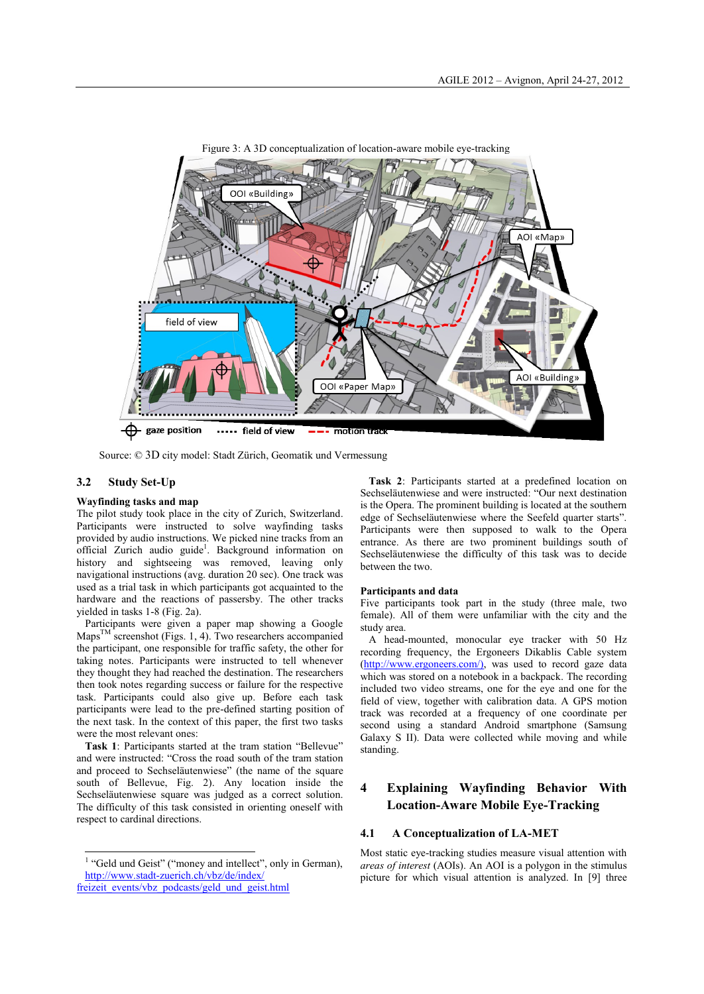

Source: © 3D city model: Stadt Zürich, Geomatik und Vermessung

### **3.2 Study Set-Up**

### **Wayfinding tasks and map**

The pilot study took place in the city of Zurich, Switzerland. Participants were instructed to solve wayfinding tasks provided by audio instructions. We picked nine tracks from an official Zurich audio guide<sup>1</sup>. Background information on history and sightseeing was removed, leaving only navigational instructions (avg. duration 20 sec). One track was used as a trial task in which participants got acquainted to the hardware and the reactions of passersby. The other tracks yielded in tasks 1-8 (Fig. 2a).

Participants were given a paper map showing a Google  $Maps^{TM}$  screenshot (Figs. 1, 4). Two researchers accompanied the participant, one responsible for traffic safety, the other for taking notes. Participants were instructed to tell whenever they thought they had reached the destination. The researchers then took notes regarding success or failure for the respective task. Participants could also give up. Before each task participants were lead to the pre-defined starting position of the next task. In the context of this paper, the first two tasks were the most relevant ones:

**Task 1**: Participants started at the tram station "Bellevue" and were instructed: "Cross the road south of the tram station and proceed to Sechseläutenwiese" (the name of the square south of Bellevue, Fig. 2). Any location inside the Sechseläutenwiese square was judged as a correct solution. The difficulty of this task consisted in orienting oneself with respect to cardinal directions.

**Task 2**: Participants started at a predefined location on Sechseläutenwiese and were instructed: "Our next destination is the Opera. The prominent building is located at the southern edge of Sechseläutenwiese where the Seefeld quarter starts". Participants were then supposed to walk to the Opera entrance. As there are two prominent buildings south of Sechseläutenwiese the difficulty of this task was to decide between the two.

#### **Participants and data**

Five participants took part in the study (three male, two female). All of them were unfamiliar with the city and the study area.

A head-mounted, monocular eye tracker with 50 Hz recording frequency, the Ergoneers Dikablis Cable system [\(http://www.ergoneers.com/\)](http://www.ergoneers.com/en/products/dlab-dikablis/overview.html), was used to record gaze data which was stored on a notebook in a backpack. The recording included two video streams, one for the eye and one for the field of view, together with calibration data. A GPS motion track was recorded at a frequency of one coordinate per second using a standard Android smartphone (Samsung Galaxy S II). Data were collected while moving and while standing.

# **4 Explaining Wayfinding Behavior With Location-Aware Mobile Eye-Tracking**

### **4.1 A Conceptualization of LA-MET**

Most static eye-tracking studies measure visual attention with *areas of interest* (AOIs). An AOI is a polygon in the stimulus picture for which visual attention is analyzed. In [\[9\]](#page-4-8) three

 1 "Geld und Geist" ("money and intellect", only in German), [http://www.stadt-zuerich.ch/vbz/de/index/](http://www.stadt-zuerich.ch/vbz/de/index/freizeit_events/vbz_podcasts/geld_und_geist.html)

[freizeit\\_events/vbz\\_podcasts/geld\\_und\\_geist.html](http://www.stadt-zuerich.ch/vbz/de/index/freizeit_events/vbz_podcasts/geld_und_geist.html)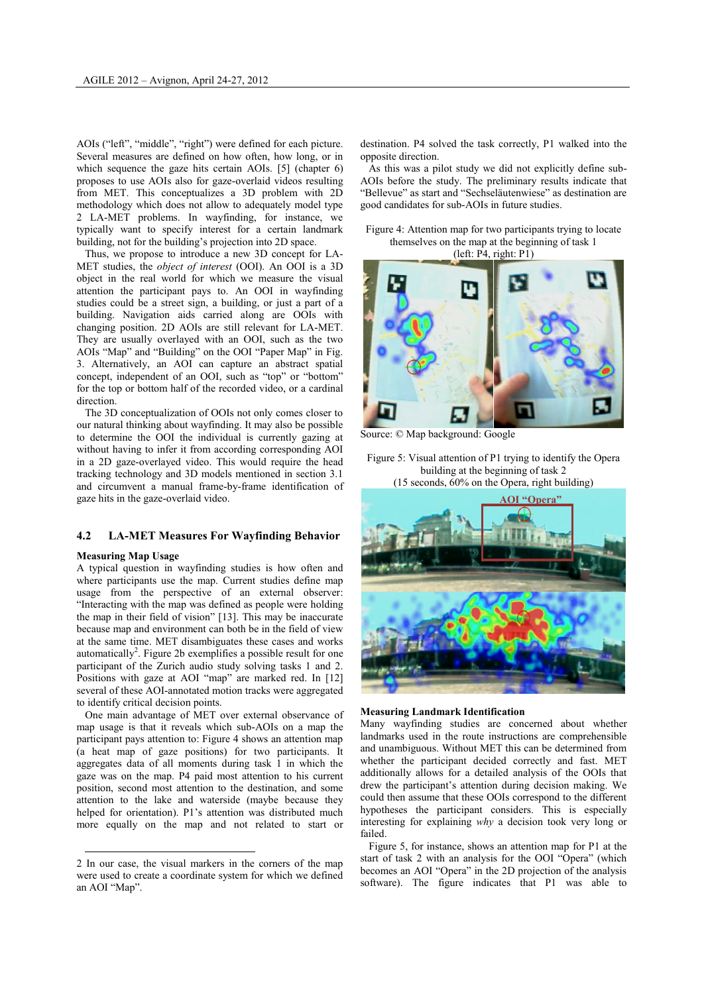AOIs ("left", "middle", "right") were defined for each picture. Several measures are defined on how often, how long, or in which sequence the gaze hits certain AOIs. [\[5\]](#page-4-4) (chapter 6) proposes to use AOIs also for gaze-overlaid videos resulting from MET. This conceptualizes a 3D problem with 2D methodology which does not allow to adequately model type 2 LA-MET problems. In wayfinding, for instance, we typically want to specify interest for a certain landmark building, not for the building's projection into 2D space.

Thus, we propose to introduce a new 3D concept for LA-MET studies, the *object of interest* (OOI). An OOI is a 3D object in the real world for which we measure the visual attention the participant pays to. An OOI in wayfinding studies could be a street sign, a building, or just a part of a building. Navigation aids carried along are OOIs with changing position. 2D AOIs are still relevant for LA-MET. They are usually overlayed with an OOI, such as the two AOIs "Map" and "Building" on the OOI "Paper Map" in Fig. 3. Alternatively, an AOI can capture an abstract spatial concept, independent of an OOI, such as "top" or "bottom" for the top or bottom half of the recorded video, or a cardinal direction.

The 3D conceptualization of OOIs not only comes closer to our natural thinking about wayfinding. It may also be possible to determine the OOI the individual is currently gazing at without having to infer it from according corresponding AOI in a 2D gaze-overlayed video. This would require the head tracking technology and 3D models mentioned in section 3.1 and circumvent a manual frame-by-frame identification of gaze hits in the gaze-overlaid video.

## **4.2 LA-MET Measures For Wayfinding Behavior**

#### **Measuring Map Usage**

 $\overline{a}$ 

A typical question in wayfinding studies is how often and where participants use the map. Current studies define map usage from the perspective of an external observer: "Interacting with the map was defined as people were holding the map in their field of vision" [\[13\]](#page-4-12). This may be inaccurate because map and environment can both be in the field of view at the same time. MET disambiguates these cases and works automatically<sup>2</sup>. Figure 2b exemplifies a possible result for one participant of the Zurich audio study solving tasks 1 and 2. Positions with gaze at AOI "map" are marked red. In [\[12\]](#page-4-11) several of these AOI-annotated motion tracks were aggregated to identify critical decision points.

One main advantage of MET over external observance of map usage is that it reveals which sub-AOIs on a map the participant pays attention to: Figure 4 shows an attention map (a heat map of gaze positions) for two participants. It aggregates data of all moments during task 1 in which the gaze was on the map. P4 paid most attention to his current position, second most attention to the destination, and some attention to the lake and waterside (maybe because they helped for orientation). P1's attention was distributed much more equally on the map and not related to start or

destination. P4 solved the task correctly, P1 walked into the opposite direction.

As this was a pilot study we did not explicitly define sub-AOIs before the study. The preliminary results indicate that "Bellevue" as start and "Sechseläutenwiese" as destination are good candidates for sub-AOIs in future studies.

Figure 4: Attention map for two participants trying to locate themselves on the map at the beginning of task 1 (left: P4, right: P1)



Source: © Map background: Google

Figure 5: Visual attention of P1 trying to identify the Opera building at the beginning of task 2 (15 seconds, 60% on the Opera, right building)





Many wayfinding studies are concerned about whether landmarks used in the route instructions are comprehensible and unambiguous. Without MET this can be determined from whether the participant decided correctly and fast. MET additionally allows for a detailed analysis of the OOIs that drew the participant's attention during decision making. We could then assume that these OOIs correspond to the different hypotheses the participant considers. This is especially interesting for explaining *why* a decision took very long or failed.

Figure 5, for instance, shows an attention map for P1 at the start of task 2 with an analysis for the OOI "Opera" (which becomes an AOI "Opera" in the 2D projection of the analysis software). The figure indicates that P1 was able to

<sup>2</sup> In our case, the visual markers in the corners of the map were used to create a coordinate system for which we defined an AOI "Map".